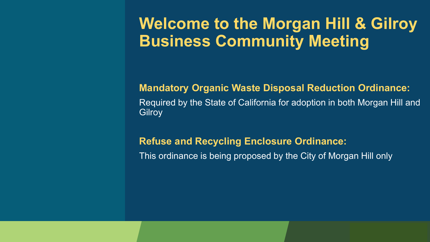### **Welcome to the Morgan Hill & Gilroy Business Community Meeting**

#### **Mandatory Organic Waste Disposal Reduction Ordinance:** Required by the State of California for adoption in both Morgan Hill and **Gilroy**

#### **Refuse and Recycling Enclosure Ordinance:**

This ordinance is being proposed by the City of Morgan Hill only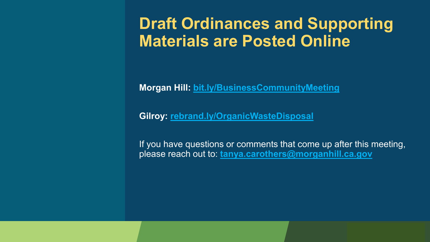### **Draft Ordinances and Supporting Materials are Posted Online**

**Morgan Hill: bit.ly/BusinessCommunityMeeting**

**Gilroy: [rebrand.ly/OrganicWasteDisposal](https://rebrand.ly/OrganicWasteDisposal)**

If you have questions or comments that come up after this meeting, please reach out to: **[tanya.carothers@morganhill.ca.gov](mailto:tanya.carothers@morganhill.ca.gov)**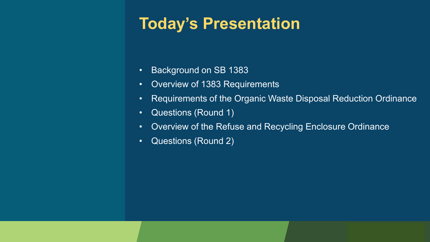## **Today's Presentation**

- Background on SB 1383
- Overview of 1383 Requirements
- Requirements of the Organic Waste Disposal Reduction Ordinance
- Questions (Round 1)
- Overview of the Refuse and Recycling Enclosure Ordinance
- Questions (Round 2)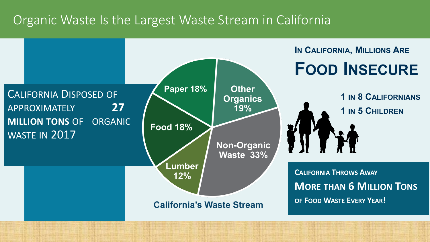### Organic Waste Is the Largest Waste Stream in California

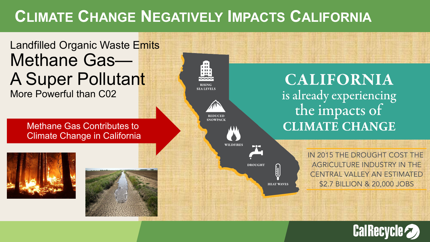## **CLIMATE CHANGE NEGATIVELY IMPACTS CALIFORNIA**

### Landfilled Organic Waste Emits Methane Gas— A Super Pollutant More Powerful than C02

Methane Gas Contributes to Climate Change in California







**CALIFORNIA** is already experiencing the impacts of **CLIMATE CHANGE** 

**i HEAT WAVES**  IN 2015 THE DROUGHT COST THE AGRICULTURE INDUSTRY IN THE **CENTRAL VALLEY AN ESTIMATED** \$2.7 BILLION & 20,000 JOBS

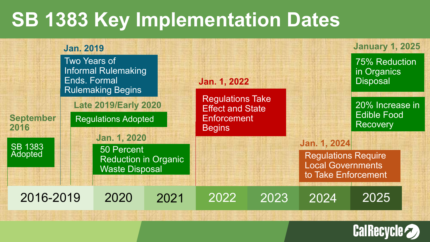## **SB 1383 Key Implementation Dates**



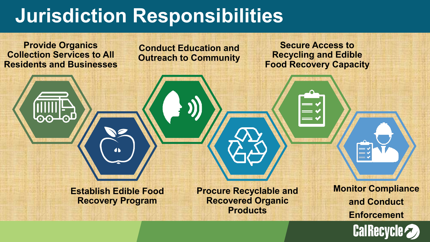## **Jurisdiction Responsibilities**



**Recovered Organic Products**

**Monitor Compliance and Conduct Enforcement**

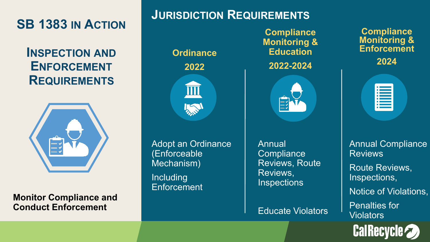**SB 1383 IN ACTION**

**INSPECTION AND ENFORCEMENT REQUIREMENTS**



**Monitor Compliance and Conduct Enforcement**

#### **JURISDICTION REQUIREMENTS**

**Ordinance**

**2022**



Adopt an Ordinance (Enforceable Mechanism) **Including Enforcement** 

**Compliance Monitoring & Education**

**2022-2024**



Annual **Compliance** Reviews, Route Reviews, **Inspections** 

Educate Violators

**Compliance Monitoring & Enforcement**

**2024**

| $\bullet$      |                                                    |  |
|----------------|----------------------------------------------------|--|
| ۰<br>m.        |                                                    |  |
| $\bullet$<br>٠ | <b>Service Service</b><br><b>Contract Contract</b> |  |
| ۵              |                                                    |  |
| ۵              |                                                    |  |
| $\bullet$ 1    |                                                    |  |
|                |                                                    |  |

Annual Compliance Reviews Route Reviews, Inspections, Notice of Violations, Penalties for Violators

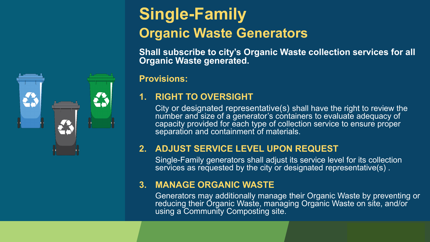

## **Single-Family Organic Waste Generators**

**Shall subscribe to city's Organic Waste collection services for all Organic Waste generated.**

#### **Provisions:**

#### **1. RIGHT TO OVERSIGHT**

City or designated representative(s) shall have the right to review the number and size of a generator's containers to evaluate adequacy of capacity provided for each type of collection service to ensure proper separation and containment of materials.

#### **2. ADJUST SERVICE LEVEL UPON REQUEST**

Single-Family generators shall adjust its service level for its collection services as requested by the city or designated representative(s).

#### **3. MANAGE ORGANIC WASTE**

Generators may additionally manage their Organic Waste by preventing or reducing their Organic Waste, managing Organic Waste on site, and/or using a Community Composting site.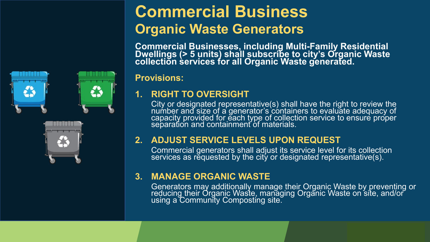### **Commercial Business Organic Waste Generators**

**Commercial Businesses, including Multi-Family Residential Dwellings (> 5 units) shall subscribe to city's Organic Waste collection services for all Organic Waste generated.**

#### **Provisions:**

#### **1. RIGHT TO OVERSIGHT**

City or designated representative(s) shall have the right to review the number and size of a generator's containers to evaluate adequacy of capacity provided for ĕach type of collection service to ensure proper separation and containment of materials.

#### **2. ADJUST SERVICE LEVELS UPON REQUEST**

Commercial generators shall adjust its service level for its collection services as rĕquested by the cit $\mathfrak j$  or designated representative(s).

#### **3. MANAGE ORGANIC WASTE**

Generators may additionally manage their Organic Waste by preventing or reducing their Organic Waste, maṇaging Organic Waste on site, and/or using a Community Composting site.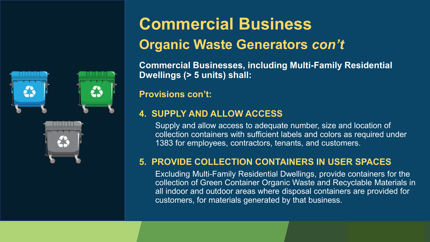



## **Commercial Business Organic Waste Generators** *con't*

**Commercial Businesses, including Multi-Family Residential Dwellings (> 5 units) shall:**

**Provisions con't:**

#### **4. SUPPLY AND ALLOW ACCESS**

Supply and allow access to adequate number, size and location of collection containers with sufficient labels and colors as required under 1383 for employees, contractors, tenants, and customers.

#### **5. PROVIDE COLLECTION CONTAINERS IN USER SPACES**

Excluding Multi-Family Residential Dwellings, provide containers for the collection of Green Container Organic Waste and Recyclable Materials in all indoor and outdoor areas where disposal containers are provided for customers, for materials generated by that business.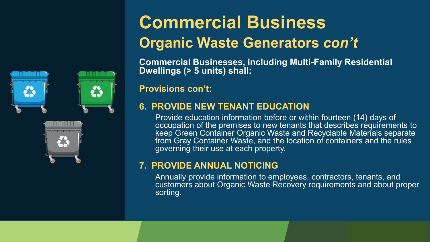



## **Commercial Business Organic Waste Generators** *con't*

**Commercial Businesses, including Multi-Family Residential Dwellings (> 5 units) shall:**

**Provisions con't:**

#### **6. PROVIDE NEW TENANT EDUCATION**

Provide education information before or within fourteen (14) days of occupation of the premises to new tenants that describes requirements to keep Green Container Organic Waste and Recyclable Materials separate from Gray Container Waste, and the location of containers and the rules governing their use at each property.

#### **7. PROVIDE ANNUAL NOTICING**

Annually provide information to employees, contractors, tenants, and customers about Organic Waste Recovery requirements and about proper sorting.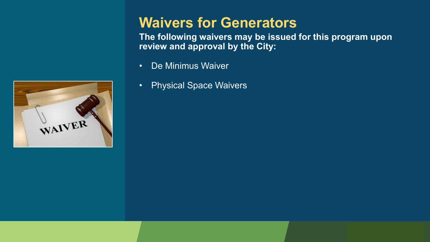

### **Waivers for Generators**

**The following waivers may be issued for this program upon review and approval by the City:**

- De Minimus Waiver
- Physical Space Waivers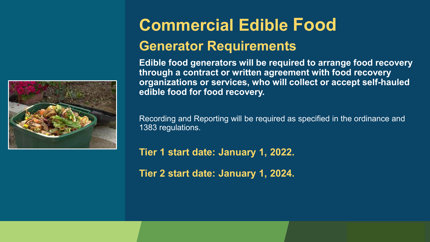

## **Commercial Edible Food**

### **Generator Requirements**

**Edible food generators will be required to arrange food recovery through a contract or written agreement with food recovery organizations or services, who will collect or accept self-hauled edible food for food recovery.** 

Recording and Reporting will be required as specified in the ordinance and 1383 regulations.

**Tier 1 start date: January 1, 2022.** 

**Tier 2 start date: January 1, 2024.**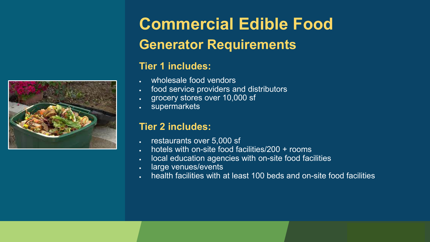

## **Commercial Edible Food Generator Requirements**

#### **Tier 1 includes:**

- wholesale food vendors
- food service providers and distributors
- grocery stores over 10,000 sf
- supermarkets

#### **Tier 2 includes:**

- restaurants over 5,000 sf
- hotels with on-site food facilities/200 + rooms
- local education agencies with on-site food facilities
- large venues/events
- health facilities with at least 100 beds and on-site food facilities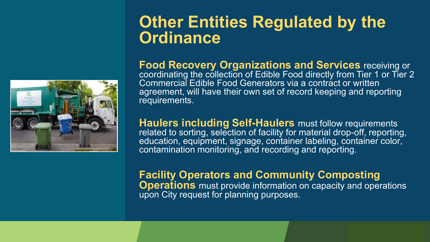

### **Other Entities Regulated by the Ordinance**

**Food Recovery Organizations and Services receiving or** coordinating the collection of Edible Food directly from Tier 1 or Tier 2 Commercial Edible Food Generators via a contract or written agreement, will have their own set of record keeping and reporting requirements.

**Haulers including Self-Haulers must follow requirements** related to sorting, selection of facility for material drop-off, reporting, education, equipment, signage, container labeling, container color, contamination monitoring, and recording and reporting.

#### **Facility Operators and Community Composting Operations** must provide information on capacity and operations upon City request for planning purposes.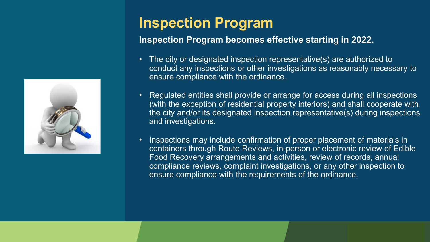

### **Inspection Program**

#### **Inspection Program becomes effective starting in 2022.**

- The city or designated inspection representative(s) are authorized to conduct any inspections or other investigations as reasonably necessary to ensure compliance with the ordinance.
- Regulated entities shall provide or arrange for access during all inspections (with the exception of residential property interiors) and shall cooperate with the city and/or its designated inspection representative(s) during inspections and investigations.
- Inspections may include confirmation of proper placement of materials in containers through Route Reviews, in-person or electronic review of Edible Food Recovery arrangements and activities, review of records, annual compliance reviews, complaint investigations, or any other inspection to ensure compliance with the requirements of the ordinance.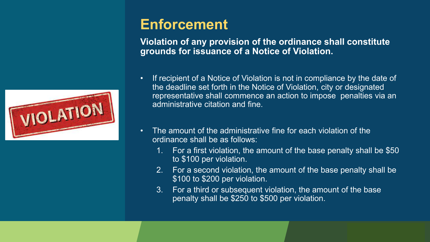

### **Enforcement**

**Violation of any provision of the ordinance shall constitute grounds for issuance of a Notice of Violation.** 

- If recipient of a Notice of Violation is not in compliance by the date of the deadline set forth in the Notice of Violation, city or designated representative shall commence an action to impose penalties via an administrative citation and fine.
- The amount of the administrative fine for each violation of the ordinance shall be as follows:
	- 1. For a first violation, the amount of the base penalty shall be \$50 to \$100 per violation.
	- 2. For a second violation, the amount of the base penalty shall be \$100 to \$200 per violation.
	- 3. For a third or subsequent violation, the amount of the base penalty shall be \$250 to \$500 per violation.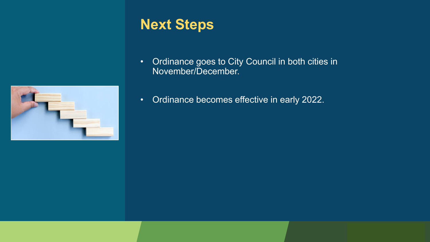

### **Next Steps**

- Ordinance goes to City Council in both cities in November/December.
- Ordinance becomes effective in early 2022.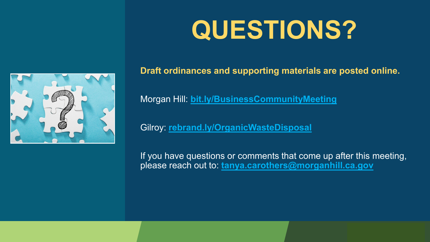# **QUESTIONS?**



**Draft ordinances and supporting materials are posted online.**

Morgan Hill: **bit.ly/BusinessCommunityMeeting**

Gilroy: **[rebrand.ly/OrganicWasteDisposal](https://rebrand.ly/OrganicWasteDisposal)**

If you have questions or comments that come up after this meeting, please reach out to: **[tanya.carothers@morganhill.ca.gov](mailto:tanya.carothers@morganhill.ca.gov)**